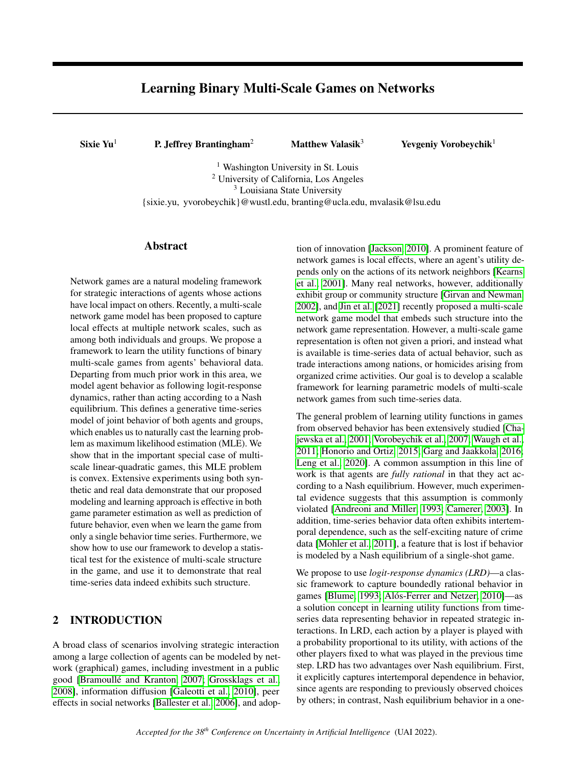# Learning Binary Multi-Scale Games on Networks

Sixie Yu<sup>1</sup> P. Jeffrey Brantingham<sup>2</sup> Matthew Valasik<sup>3</sup> Yevgeniy Vorobeychik<sup>1</sup>

<sup>1</sup> Washington University in St. Louis <sup>2</sup> University of California, Los Angeles <sup>3</sup> Louisiana State University {sixie.yu, yvorobeychik}@wustl.edu, branting@ucla.edu, mvalasik@lsu.edu

## Abstract

Network games are a natural modeling framework for strategic interactions of agents whose actions have local impact on others. Recently, a multi-scale network game model has been proposed to capture local effects at multiple network scales, such as among both individuals and groups. We propose a framework to learn the utility functions of binary multi-scale games from agents' behavioral data. Departing from much prior work in this area, we model agent behavior as following logit-response dynamics, rather than acting according to a Nash equilibrium. This defines a generative time-series model of joint behavior of both agents and groups, which enables us to naturally cast the learning problem as maximum likelihood estimation (MLE). We show that in the important special case of multiscale linear-quadratic games, this MLE problem is convex. Extensive experiments using both synthetic and real data demonstrate that our proposed modeling and learning approach is effective in both game parameter estimation as well as prediction of future behavior, even when we learn the game from only a single behavior time series. Furthermore, we show how to use our framework to develop a statistical test for the existence of multi-scale structure in the game, and use it to demonstrate that real time-series data indeed exhibits such structure.

## 2 INTRODUCTION

A broad class of scenarios involving strategic interaction among a large collection of agents can be modeled by network (graphical) games, including investment in a public good [\[Bramoullé and Kranton, 2007;](#page-8-0) [Grossklags et al.,](#page-9-0) [2008\]](#page-9-0), information diffusion [\[Galeotti et al., 2010\]](#page-8-1), peer effects in social networks [\[Ballester et al., 2006\]](#page-8-2), and adop-

tion of innovation [\[Jackson, 2010\]](#page-9-1). A prominent feature of network games is local effects, where an agent's utility depends only on the actions of its network neighbors [\[Kearns](#page-9-2) [et al., 2001\]](#page-9-2). Many real networks, however, additionally exhibit group or community structure [\[Girvan and Newman,](#page-9-3) [2002\]](#page-9-3), and [Jin et al.](#page-9-4) [\[2021\]](#page-9-4) recently proposed a multi-scale network game model that embeds such structure into the network game representation. However, a multi-scale game representation is often not given a priori, and instead what is available is time-series data of actual behavior, such as trade interactions among nations, or homicides arising from organized crime activities. Our goal is to develop a scalable framework for learning parametric models of multi-scale network games from such time-series data.

The general problem of learning utility functions in games from observed behavior has been extensively studied [\[Cha](#page-8-3)[jewska et al., 2001;](#page-8-3) [Vorobeychik et al., 2007;](#page-9-5) [Waugh et al.,](#page-9-6) [2011;](#page-9-6) [Honorio and Ortiz, 2015;](#page-9-7) [Garg and Jaakkola, 2016;](#page-9-8) [Leng et al., 2020\]](#page-9-9). A common assumption in this line of work is that agents are *fully rational* in that they act according to a Nash equilibrium. However, much experimental evidence suggests that this assumption is commonly violated [\[Andreoni and Miller, 1993;](#page-8-4) [Camerer, 2003\]](#page-8-5). In addition, time-series behavior data often exhibits intertemporal dependence, such as the self-exciting nature of crime data [\[Mohler et al., 2011\]](#page-9-10), a feature that is lost if behavior is modeled by a Nash equilibrium of a single-shot game.

We propose to use *logit-response dynamics (LRD)*—a classic framework to capture boundedly rational behavior in games [\[Blume, 1993;](#page-8-6) [Alós-Ferrer and Netzer, 2010\]](#page-8-7)—as a solution concept in learning utility functions from timeseries data representing behavior in repeated strategic interactions. In LRD, each action by a player is played with a probability proportional to its utility, with actions of the other players fixed to what was played in the previous time step. LRD has two advantages over Nash equilibrium. First, it explicitly captures intertemporal dependence in behavior, since agents are responding to previously observed choices by others; in contrast, Nash equilibrium behavior in a one-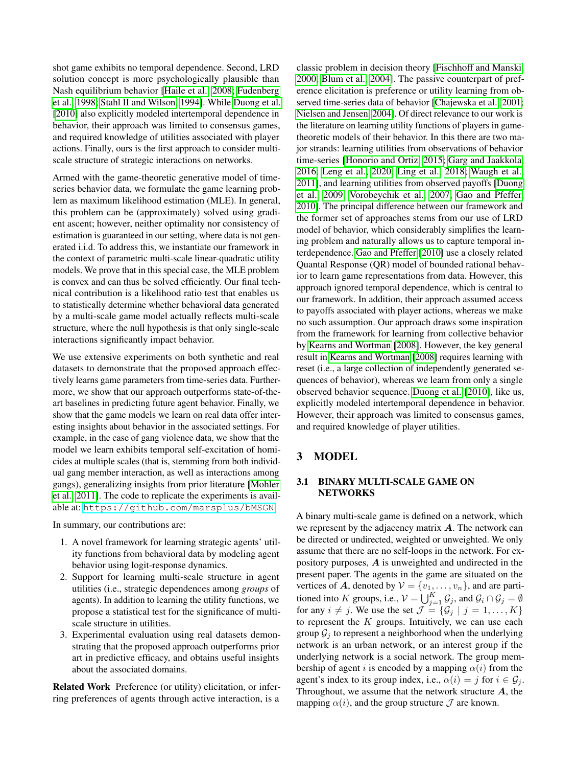shot game exhibits no temporal dependence. Second, LRD solution concept is more psychologically plausible than Nash equilibrium behavior [\[Haile et al., 2008;](#page-9-11) [Fudenberg](#page-8-8) [et al., 1998;](#page-8-8) [Stahl II and Wilson, 1994\]](#page-9-12). While [Duong et al.](#page-8-9) [\[2010\]](#page-8-9) also explicitly modeled intertemporal dependence in behavior, their approach was limited to consensus games, and required knowledge of utilities associated with player actions. Finally, ours is the first approach to consider multiscale structure of strategic interactions on networks.

Armed with the game-theoretic generative model of timeseries behavior data, we formulate the game learning problem as maximum likelihood estimation (MLE). In general, this problem can be (approximately) solved using gradient ascent; however, neither optimality nor consistency of estimation is guaranteed in our setting, where data is not generated i.i.d. To address this, we instantiate our framework in the context of parametric multi-scale linear-quadratic utility models. We prove that in this special case, the MLE problem is convex and can thus be solved efficiently. Our final technical contribution is a likelihood ratio test that enables us to statistically determine whether behavioral data generated by a multi-scale game model actually reflects multi-scale structure, where the null hypothesis is that only single-scale interactions significantly impact behavior.

We use extensive experiments on both synthetic and real datasets to demonstrate that the proposed approach effectively learns game parameters from time-series data. Furthermore, we show that our approach outperforms state-of-theart baselines in predicting future agent behavior. Finally, we show that the game models we learn on real data offer interesting insights about behavior in the associated settings. For example, in the case of gang violence data, we show that the model we learn exhibits temporal self-excitation of homicides at multiple scales (that is, stemming from both individual gang member interaction, as well as interactions among gangs), generalizing insights from prior literature [\[Mohler](#page-9-10) [et al., 2011\]](#page-9-10). The code to replicate the experiments is available at: <https://github.com/marsplus/bMSGN>.

In summary, our contributions are:

- 1. A novel framework for learning strategic agents' utility functions from behavioral data by modeling agent behavior using logit-response dynamics.
- 2. Support for learning multi-scale structure in agent utilities (i.e., strategic dependences among *groups* of agents). In addition to learning the utility functions, we propose a statistical test for the significance of multiscale structure in utilities.
- 3. Experimental evaluation using real datasets demonstrating that the proposed approach outperforms prior art in predictive efficacy, and obtains useful insights about the associated domains.

Related Work Preference (or utility) elicitation, or inferring preferences of agents through active interaction, is a

classic problem in decision theory [\[Fischhoff and Manski,](#page-8-10) [2000;](#page-8-10) [Blum et al., 2004\]](#page-8-11). The passive counterpart of preference elicitation is preference or utility learning from observed time-series data of behavior [\[Chajewska et al., 2001;](#page-8-3) [Nielsen and Jensen, 2004\]](#page-9-13). Of direct relevance to our work is the literature on learning utility functions of players in gametheoretic models of their behavior. In this there are two major strands: learning utilities from observations of behavior time-series [\[Honorio and Ortiz, 2015;](#page-9-7) [Garg and Jaakkola,](#page-9-8) [2016;](#page-9-8) [Leng et al., 2020;](#page-9-9) [Ling et al., 2018;](#page-9-14) [Waugh et al.,](#page-9-6) [2011\]](#page-9-6), and learning utilities from observed payoffs [\[Duong](#page-8-12) [et al., 2009;](#page-8-12) [Vorobeychik et al., 2007;](#page-9-5) [Gao and Pfeffer,](#page-8-13) [2010\]](#page-8-13). The principal difference between our framework and the former set of approaches stems from our use of LRD model of behavior, which considerably simplifies the learning problem and naturally allows us to capture temporal interdependence. [Gao and Pfeffer](#page-8-13) [\[2010\]](#page-8-13) use a closely related Quantal Response (QR) model of bounded rational behavior to learn game representations from data. However, this approach ignored temporal dependence, which is central to our framework. In addition, their approach assumed access to payoffs associated with player actions, whereas we make no such assumption. Our approach draws some inspiration from the framework for learning from collective behavior by [Kearns and Wortman](#page-9-15) [\[2008\]](#page-9-15). However, the key general result in [Kearns and Wortman](#page-9-15) [\[2008\]](#page-9-15) requires learning with reset (i.e., a large collection of independently generated sequences of behavior), whereas we learn from only a single observed behavior sequence. [Duong et al.](#page-8-9) [\[2010\]](#page-8-9), like us, explicitly modeled intertemporal dependence in behavior. However, their approach was limited to consensus games, and required knowledge of player utilities.

# 3 MODEL

## 3.1 BINARY MULTI-SCALE GAME ON NETWORKS

A binary multi-scale game is defined on a network, which we represent by the adjacency matrix  $A$ . The network can be directed or undirected, weighted or unweighted. We only assume that there are no self-loops in the network. For expository purposes, A is unweighted and undirected in the present paper. The agents in the game are situated on the vertices of A, denoted by  $V = \{v_1, \ldots, v_n\}$ , and are partitioned into K groups, i.e.,  $V = \bigcup_{j=1}^{K} \mathcal{G}_j$ , and  $\mathcal{G}_i \cap \mathcal{G}_j = \emptyset$ for any  $i \neq j$ . We use the set  $\mathcal{J} = \{\mathcal{G}_j \mid j = 1, ..., K\}$ to represent the  $K$  groups. Intuitively, we can use each group  $G_i$  to represent a neighborhood when the underlying network is an urban network, or an interest group if the underlying network is a social network. The group membership of agent i is encoded by a mapping  $\alpha(i)$  from the agent's index to its group index, i.e.,  $\alpha(i) = j$  for  $i \in \mathcal{G}_i$ . Throughout, we assume that the network structure  $A$ , the mapping  $\alpha(i)$ , and the group structure  $\mathcal J$  are known.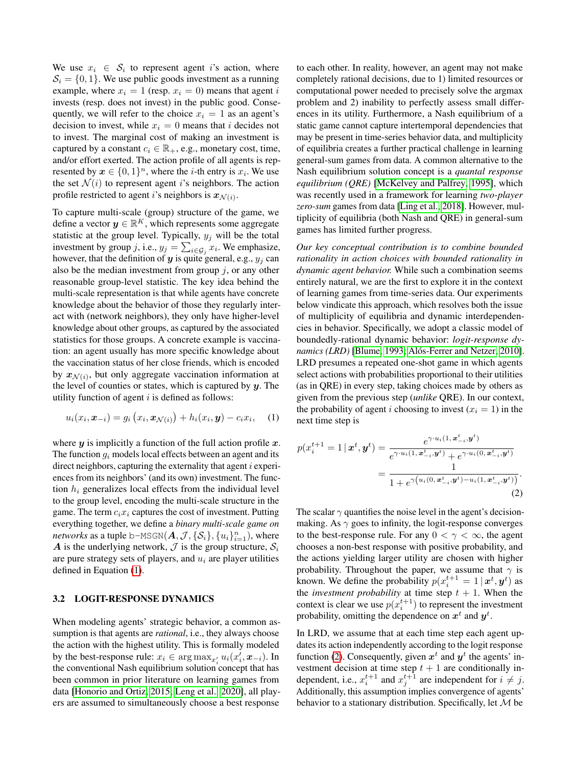We use  $x_i \in S_i$  to represent agent i's action, where  $S_i = \{0, 1\}$ . We use public goods investment as a running example, where  $x_i = 1$  (resp.  $x_i = 0$ ) means that agent i invests (resp. does not invest) in the public good. Consequently, we will refer to the choice  $x<sub>i</sub> = 1$  as an agent's decision to invest, while  $x_i = 0$  means that i decides not to invest. The marginal cost of making an investment is captured by a constant  $c_i \in \mathbb{R}_+$ , e.g., monetary cost, time, and/or effort exerted. The action profile of all agents is represented by  $x \in \{0,1\}^n$ , where the *i*-th entry is  $x_i$ . We use the set  $\mathcal{N}(i)$  to represent agent i's neighbors. The action profile restricted to agent i's neighbors is  $x_{\mathcal{N}(i)}$ .

To capture multi-scale (group) structure of the game, we define a vector  $y \in \mathbb{R}^K$ , which represents some aggregate statistic at the group level. Typically,  $y_i$  will be the total investment by group j, i.e.,  $y_j = \sum_{i \in \mathcal{G}_j} x_i$ . We emphasize, however, that the definition of y is quite general, e.g.,  $y_i$  can also be the median investment from group  $j$ , or any other reasonable group-level statistic. The key idea behind the multi-scale representation is that while agents have concrete knowledge about the behavior of those they regularly interact with (network neighbors), they only have higher-level knowledge about other groups, as captured by the associated statistics for those groups. A concrete example is vaccination: an agent usually has more specific knowledge about the vaccination status of her close friends, which is encoded by  $x_{\mathcal{N}(i)}$ , but only aggregate vaccination information at the level of counties or states, which is captured by  $y$ . The utility function of agent  $i$  is defined as follows:

$$
u_i(x_i, \boldsymbol{x}_{-i}) = g_i(x_i, \boldsymbol{x}_{\mathcal{N}(i)}) + h_i(x_i, \boldsymbol{y}) - c_i x_i, \quad (1)
$$

where  $y$  is implicitly a function of the full action profile  $x$ . The function  $q_i$  models local effects between an agent and its direct neighbors, capturing the externality that agent  $i$  experiences from its neighbors' (and its own) investment. The function  $h_i$  generalizes local effects from the individual level to the group level, encoding the multi-scale structure in the game. The term  $c_i x_i$  captures the cost of investment. Putting everything together, we define a *binary multi-scale game on networks* as a tuple b–MSGN $(\boldsymbol{A}, \mathcal{J}, \{\mathcal{S}_i\}, \{u_i\}_{i=1}^n)$ , where A is the underlying network,  $\mathcal{J}$  is the group structure,  $\mathcal{S}_i$ are pure strategy sets of players, and  $u_i$  are player utilities defined in Equation [\(1\)](#page-2-0).

#### 3.2 LOGIT-RESPONSE DYNAMICS

When modeling agents' strategic behavior, a common assumption is that agents are *rational*, i.e., they always choose the action with the highest utility. This is formally modeled by the best-response rule:  $x_i \in \arg \max_{x_i'} u_i(x_i', x_{-i})$ . In the conventional Nash equilibrium solution concept that has been common in prior literature on learning games from data [\[Honorio and Ortiz, 2015;](#page-9-7) [Leng et al., 2020\]](#page-9-9), all players are assumed to simultaneously choose a best response

to each other. In reality, however, an agent may not make completely rational decisions, due to 1) limited resources or computational power needed to precisely solve the argmax problem and 2) inability to perfectly assess small differences in its utility. Furthermore, a Nash equilibrium of a static game cannot capture intertemporal dependencies that may be present in time-series behavior data, and multiplicity of equilibria creates a further practical challenge in learning general-sum games from data. A common alternative to the Nash equilibrium solution concept is a *quantal response equilibrium (QRE)* [\[McKelvey and Palfrey, 1995\]](#page-9-16), which was recently used in a framework for learning *two-player zero-sum* games from data [\[Ling et al., 2018\]](#page-9-14). However, multiplicity of equilibria (both Nash and QRE) in general-sum games has limited further progress.

*Our key conceptual contribution is to combine bounded rationality in action choices with bounded rationality in dynamic agent behavior.* While such a combination seems entirely natural, we are the first to explore it in the context of learning games from time-series data. Our experiments below vindicate this approach, which resolves both the issue of multiplicity of equilibria and dynamic interdependencies in behavior. Specifically, we adopt a classic model of boundedly-rational dynamic behavior: *logit-response dynamics (LRD)* [\[Blume, 1993;](#page-8-6) [Alós-Ferrer and Netzer, 2010\]](#page-8-7). LRD presumes a repeated one-shot game in which agents select actions with probabilities proportional to their utilities (as in QRE) in every step, taking choices made by others as given from the previous step (*unlike* QRE). In our context, the probability of agent *i* choosing to invest  $(x<sub>i</sub> = 1)$  in the next time step is

<span id="page-2-0"></span>
$$
p(x_i^{t+1} = 1 | \mathbf{x}^t, \mathbf{y}^t) = \frac{e^{\gamma \cdot u_i(1, \mathbf{x}_{-i}^t, \mathbf{y}^t)}}{e^{\gamma \cdot u_i(1, \mathbf{x}_{-i}^t, \mathbf{y}^t)} + e^{\gamma \cdot u_i(0, \mathbf{x}_{-i}^t, \mathbf{y}^t)}}
$$
  
= 
$$
\frac{1}{1 + e^{\gamma \left(u_i(0, \mathbf{x}_{-i}^t, \mathbf{y}^t) - u_i(1, \mathbf{x}_{-i}^t, \mathbf{y}^t)\right)}}.
$$
(2)

<span id="page-2-1"></span>The scalar  $\gamma$  quantifies the noise level in the agent's decisionmaking. As  $\gamma$  goes to infinity, the logit-response converges to the best-response rule. For any  $0 < \gamma < \infty$ , the agent chooses a non-best response with positive probability, and the actions yielding larger utility are chosen with higher probability. Throughout the paper, we assume that  $\gamma$  is known. We define the probability  $p(x_i^{t+1} = 1 | x^t, y^t)$  as the *investment probability* at time step  $t + 1$ . When the context is clear we use  $p(x_i^{t+1})$  to represent the investment probability, omitting the dependence on  $x^t$  and  $y^t$ .

In LRD, we assume that at each time step each agent updates its action independently according to the logit response function [\(2\)](#page-2-1). Consequently, given  $x^t$  and  $y^t$  the agents' investment decision at time step  $t + 1$  are conditionally independent, i.e.,  $x_i^{t+1}$  and  $x_j^{t+1}$  are independent for  $i \neq j$ . Additionally, this assumption implies convergence of agents' behavior to a stationary distribution. Specifically, let  $M$  be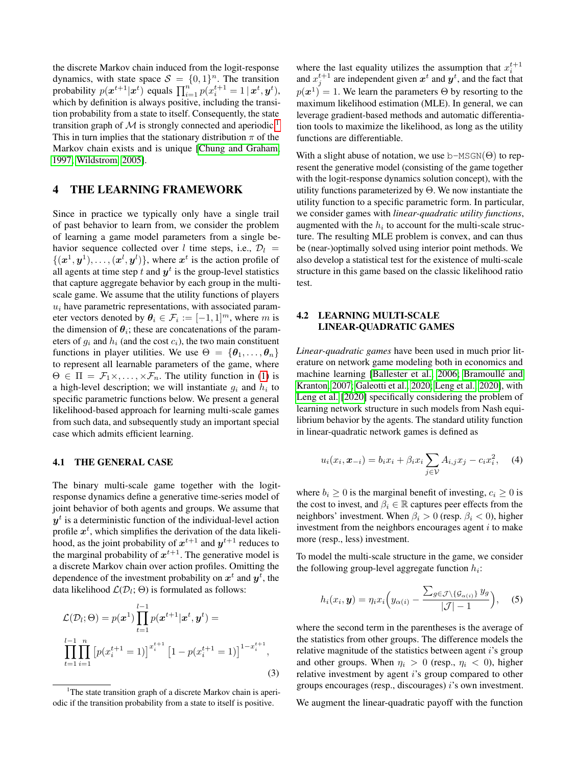the discrete Markov chain induced from the logit-response dynamics, with state space  $S = \{0, 1\}^n$ . The transition probability  $p(\boldsymbol{x}^{t+1}|\boldsymbol{x}^{t})$  equals  $\prod_{i=1}^{n} p(x_i^{t+1} = 1 | \boldsymbol{x}^{t}, \boldsymbol{y}^{t}),$ which by definition is always positive, including the transition probability from a state to itself. Consequently, the state transition graph of  $M$  is strongly connected and aperiodic.<sup>[1](#page-3-0)</sup> This in turn implies that the stationary distribution  $\pi$  of the Markov chain exists and is unique [\[Chung and Graham,](#page-8-14) [1997;](#page-8-14) [Wildstrom, 2005\]](#page-9-17).

## 4 THE LEARNING FRAMEWORK

Since in practice we typically only have a single trail of past behavior to learn from, we consider the problem of learning a game model parameters from a single behavior sequence collected over l time steps, i.e.,  $\mathcal{D}_l$  =  $\{(\mathbf{x}^1, \mathbf{y}^1), \dots, (\mathbf{x}^l, \mathbf{y}^l)\}\$ , where  $\mathbf{x}^t$  is the action profile of all agents at time step  $t$  and  $y^t$  is the group-level statistics that capture aggregate behavior by each group in the multiscale game. We assume that the utility functions of players  $u_i$  have parametric representations, with associated parameter vectors denoted by  $\theta_i \in \mathcal{F}_i := [-1, 1]^m$ , where m is the dimension of  $\theta_i$ ; these are concatenations of the parameters of  $g_i$  and  $h_i$  (and the cost  $c_i$ ), the two main constituent functions in player utilities. We use  $\Theta = {\theta_1, \dots, \theta_n}$ to represent all learnable parameters of the game, where  $\Theta \in \Pi = \mathcal{F}_1 \times, \ldots, \times \mathcal{F}_n$ . The utility function in [\(1\)](#page-2-0) is a high-level description; we will instantiate  $g_i$  and  $h_i$  to specific parametric functions below. We present a general likelihood-based approach for learning multi-scale games from such data, and subsequently study an important special case which admits efficient learning.

#### 4.1 THE GENERAL CASE

The binary multi-scale game together with the logitresponse dynamics define a generative time-series model of joint behavior of both agents and groups. We assume that  $y<sup>t</sup>$  is a deterministic function of the individual-level action profile  $x^t$ , which simplifies the derivation of the data likelihood, as the joint probability of  $x^{t+1}$  and  $y^{t+1}$  reduces to the marginal probability of  $x^{t+1}$ . The generative model is a discrete Markov chain over action profiles. Omitting the dependence of the investment probability on  $x^t$  and  $y^t$ , the data likelihood  $\mathcal{L}(\mathcal{D}_l; \Theta)$  is formulated as follows:

$$
\mathcal{L}(\mathcal{D}_l; \Theta) = p(\boldsymbol{x}^1) \prod_{t=1}^{l-1} p(\boldsymbol{x}^{t+1} | \boldsymbol{x}^t, \boldsymbol{y}^t) =
$$
  

$$
\prod_{t=1}^{l-1} \prod_{i=1}^n \left[ p(x_i^{t+1} = 1) \right]^{x_i^{t+1}} \left[ 1 - p(x_i^{t+1} = 1) \right]^{1 - x_i^{t+1}},
$$
  
(3)

where the last equality utilizes the assumption that  $x_i^{t+1}$  and  $x_j^{t+1}$  are independent given  $x^t$  and  $y^t$ , and the fact that  $p(x^1) = 1$ . We learn the parameters  $\Theta$  by resorting to the maximum likelihood estimation (MLE). In general, we can leverage gradient-based methods and automatic differentiation tools to maximize the likelihood, as long as the utility functions are differentiable.

With a slight abuse of notation, we use  $b-MSGN(\Theta)$  to represent the generative model (consisting of the game together with the logit-response dynamics solution concept), with the utility functions parameterized by Θ. We now instantiate the utility function to a specific parametric form. In particular, we consider games with *linear-quadratic utility functions*, augmented with the  $h_i$  to account for the multi-scale structure. The resulting MLE problem is convex, and can thus be (near-)optimally solved using interior point methods. We also develop a statistical test for the existence of multi-scale structure in this game based on the classic likelihood ratio test.

## <span id="page-3-1"></span>4.2 LEARNING MULTI-SCALE LINEAR-QUADRATIC GAMES

*Linear-quadratic games* have been used in much prior literature on network game modeling both in economics and machine learning [\[Ballester et al., 2006;](#page-8-2) [Bramoullé and](#page-8-0) [Kranton, 2007;](#page-8-0) [Galeotti et al., 2020;](#page-8-15) [Leng et al., 2020\]](#page-9-9), with [Leng et al.](#page-9-9) [\[2020\]](#page-9-9) specifically considering the problem of learning network structure in such models from Nash equilibrium behavior by the agents. The standard utility function in linear-quadratic network games is defined as

$$
u_i(x_i, x_{-i}) = b_i x_i + \beta_i x_i \sum_{j \in V} A_{i,j} x_j - c_i x_i^2,
$$
 (4)

where  $b_i \geq 0$  is the marginal benefit of investing,  $c_i \geq 0$  is the cost to invest, and  $\beta_i \in \mathbb{R}$  captures peer effects from the neighbors' investment. When  $\beta_i > 0$  (resp.  $\beta_i < 0$ ), higher investment from the neighbors encourages agent  $i$  to make more (resp., less) investment.

To model the multi-scale structure in the game, we consider the following group-level aggregate function  $h_i$ :

$$
h_i(x_i, \mathbf{y}) = \eta_i x_i \Big( y_{\alpha(i)} - \frac{\sum_{g \in \mathcal{J} \setminus \{ \mathcal{G}_{\alpha(i)} \} } y_g}{|\mathcal{J}| - 1} \Big), \quad (5)
$$

where the second term in the parentheses is the average of the statistics from other groups. The difference models the relative magnitude of the statistics between agent  $i$ 's group and other groups. When  $\eta_i > 0$  (resp.,  $\eta_i < 0$ ), higher relative investment by agent i's group compared to other groups encourages (resp., discourages) i's own investment.

We augment the linear-quadratic payoff with the function

<span id="page-3-0"></span><sup>&</sup>lt;sup>1</sup>The state transition graph of a discrete Markov chain is aperiodic if the transition probability from a state to itself is positive.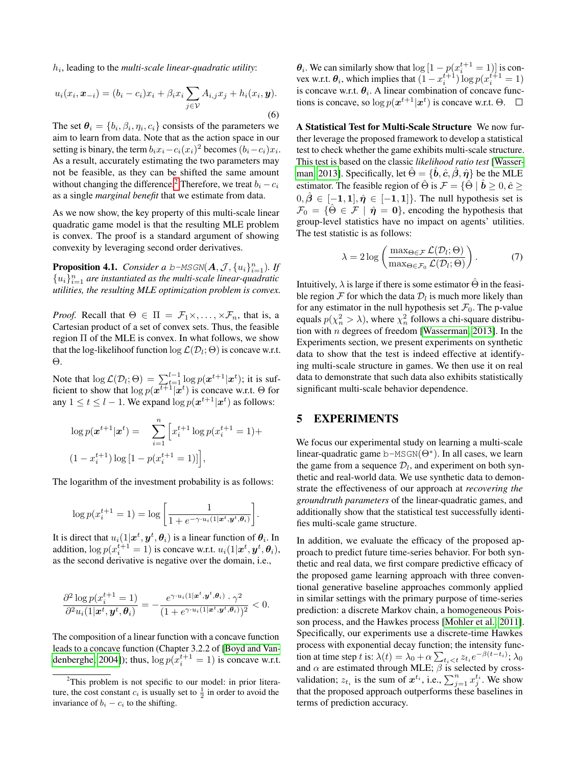$h_i$ , leading to the *multi-scale linear-quadratic utility*:

$$
u_i(x_i, \boldsymbol{x}_{-i}) = (b_i - c_i)x_i + \beta_i x_i \sum_{j \in \mathcal{V}} A_{i,j} x_j + h_i(x_i, \boldsymbol{y}).
$$
\n(6)

The set  $\theta_i = \{b_i, \beta_i, \eta_i, c_i\}$  consists of the parameters we aim to learn from data. Note that as the action space in our setting is binary, the term  $b_i x_i - c_i(x_i)^2$  becomes  $(b_i - c_i)x_i$ . As a result, accurately estimating the two parameters may not be feasible, as they can be shifted the same amount without changing the difference.<sup>[2](#page-4-0)</sup> Therefore, we treat  $b_i - c_i$ as a single *marginal benefit* that we estimate from data.

As we now show, the key property of this multi-scale linear quadratic game model is that the resulting MLE problem is convex. The proof is a standard argument of showing convexity by leveraging second order derivatives.

**Proposition 4.1.** *Consider a b-MSGN* $(A, \mathcal{J}, \{u_i\}_{i=1}^n)$ *. If*  ${u_i}_{i=1}^n$  are instantiated as the multi-scale linear-quadratic *utilities, the resulting MLE optimization problem is convex.*

*Proof.* Recall that  $\Theta \in \Pi = \mathcal{F}_1 \times, \dots, \times \mathcal{F}_n$ , that is, a Cartesian product of a set of convex sets. Thus, the feasible region Π of the MLE is convex. In what follows, we show that the log-likelihoof function  $\log \mathcal{L}(\mathcal{D}_l; \Theta)$  is concave w.r.t. Θ.

Note that  $\log \mathcal{L}(\mathcal{D}_l; \Theta) = \sum_{t=1}^{l-1} \log p(\mathbf{x}^{t+1} | \mathbf{x}^t)$ ; it is sufficient to show that  $\log p(\mathbf{x}^{t+1}|\mathbf{x}^{t})$  is concave w.r.t.  $\Theta$  for any  $1 \le t \le l - 1$ . We expand  $\log p(\boldsymbol{x}^{t+1}|\boldsymbol{x}^{t})$  as follows:

$$
\log p(\mathbf{x}^{t+1}|\mathbf{x}^t) = \sum_{i=1}^n \left[ x_i^{t+1} \log p(x_i^{t+1} = 1) +
$$
  

$$
(1 - x_i^{t+1}) \log \left[ 1 - p(x_i^{t+1} = 1) \right] \right],
$$

The logarithm of the investment probability is as follows:

$$
\log p(x_i^{t+1} = 1) = \log \left[ \frac{1}{1 + e^{-\gamma \cdot u_i(1|\boldsymbol{x}^t, \boldsymbol{y}^t, \boldsymbol{\theta}_i)}} \right].
$$

It is direct that  $u_i(1|\boldsymbol{x}^t, \boldsymbol{y}^t, \boldsymbol{\theta}_i)$  is a linear function of  $\boldsymbol{\theta}_i$ . In addition,  $\log p(x_i^{t+1} = 1)$  is concave w.r.t.  $u_i(1|\boldsymbol{x}^t, \boldsymbol{y}^t, \boldsymbol{\theta}_i)$ , as the second derivative is negative over the domain, i.e.,

$$
\frac{\partial^2 \log p(x_i^{t+1} = 1)}{\partial^2 u_i(1|\boldsymbol{x}^t, \boldsymbol{y}^t, \boldsymbol{\theta}_i)} = -\frac{e^{\gamma \cdot u_i(1|\boldsymbol{x}^t, \boldsymbol{y}^t, \boldsymbol{\theta}_i)} \cdot \gamma^2}{(1 + e^{\gamma \cdot u_i(1|\boldsymbol{x}^t, \boldsymbol{y}^t, \boldsymbol{\theta}_i)})^2} < 0.
$$

The composition of a linear function with a concave function leads to a concave function (Chapter 3.2.2 of [\[Boyd and Van](#page-8-16)[denberghe, 2004\]](#page-8-16)); thus,  $\log p(x_i^{t+1} = 1)$  is concave w.r.t.  $\theta_i$ . We can similarly show that  $\log\left[1-p(x_i^{t+1}=1)\right]$  is convex w.r.t.  $\theta_i$ , which implies that  $(1 - x_i^{t+1}) \log p(x_i^{t+1} = 1)$ is concave w.r.t.  $\theta_i$ . A linear combination of concave functions is concave, so  $\log p(\boldsymbol{x}^{t+1}|\boldsymbol{x}^{t})$  is concave w.r.t.  $\Theta$ .

A Statistical Test for Multi-Scale Structure We now further leverage the proposed framework to develop a statistical test to check whether the game exhibits multi-scale structure. This test is based on the classic *likelihood ratio test* [\[Wasser](#page-9-18)[man, 2013\]](#page-9-18). Specifically, let  $\hat{\Theta} = \{\hat{\boldsymbol{b}}, \hat{\boldsymbol{c}}, \hat{\boldsymbol{\beta}}, \hat{\boldsymbol{\eta}}\}$  be the MLE estimator. The feasible region of  $\hat{\Theta}$  is  $\mathcal{F} = \{\hat{\Theta} \mid \hat{\boldsymbol{b}} \geq 0, \hat{\boldsymbol{c}} \geq 0\}$  $0, \hat{\beta} \in [-1, 1], \hat{\eta} \in [-1, 1]$ . The null hypothesis set is  $\mathcal{F}_0 = \{ \hat{\Theta} \in \mathcal{F} \mid \hat{\eta} = 0 \}$ , encoding the hypothesis that group-level statistics have no impact on agents' utilities. The test statistic is as follows:

$$
\lambda = 2 \log \left( \frac{\max_{\Theta \in \mathcal{F}} \mathcal{L}(\mathcal{D}_l; \Theta)}{\max_{\Theta \in \mathcal{F}_0} \mathcal{L}(\mathcal{D}_l; \Theta)} \right).
$$
(7)

Intuitively,  $\lambda$  is large if there is some estimator  $\Theta$  in the feasible region  $\mathcal F$  for which the data  $\mathcal D_l$  is much more likely than for any estimator in the null hypothesis set  $\mathcal{F}_0$ . The p-value equals  $p(\chi_n^2 > \lambda)$ , where  $\chi_n^2$  follows a chi-square distribution with  $n$  degrees of freedom [\[Wasserman, 2013\]](#page-9-18). In the Experiments section, we present experiments on synthetic data to show that the test is indeed effective at identifying multi-scale structure in games. We then use it on real data to demonstrate that such data also exhibits statistically significant multi-scale behavior dependence.

## 5 EXPERIMENTS

We focus our experimental study on learning a multi-scale linear-quadratic game b- $MSGN(\Theta^*)$ . In all cases, we learn the game from a sequence  $\mathcal{D}_l$ , and experiment on both synthetic and real-world data. We use synthetic data to demonstrate the effectiveness of our approach at *recovering the groundtruth parameters* of the linear-quadratic games, and additionally show that the statistical test successfully identifies multi-scale game structure.

In addition, we evaluate the efficacy of the proposed approach to predict future time-series behavior. For both synthetic and real data, we first compare predictive efficacy of the proposed game learning approach with three conventional generative baseline approaches commonly applied in similar settings with the primary purpose of time-series prediction: a discrete Markov chain, a homogeneous Poisson process, and the Hawkes process [\[Mohler et al., 2011\]](#page-9-10). Specifically, our experiments use a discrete-time Hawkes process with exponential decay function; the intensity function at time step t is:  $\lambda(t) = \lambda_0 + \alpha \sum_{t_i < t} z_{t_i} e^{-\beta(t - t_i)}; \lambda_0$ and  $\alpha$  are estimated through MLE;  $\beta$  is selected by crossvalidation;  $z_{t_i}$  is the sum of  $x^{t_i}$ , i.e.,  $\sum_{j=1}^n x_j^{t_i}$ . We show that the proposed approach outperforms these baselines in terms of prediction accuracy.

<span id="page-4-0"></span><sup>&</sup>lt;sup>2</sup>This problem is not specific to our model: in prior literature, the cost constant  $c_i$  is usually set to  $\frac{1}{2}$  in order to avoid the invariance of  $b_i - c_i$  to the shifting.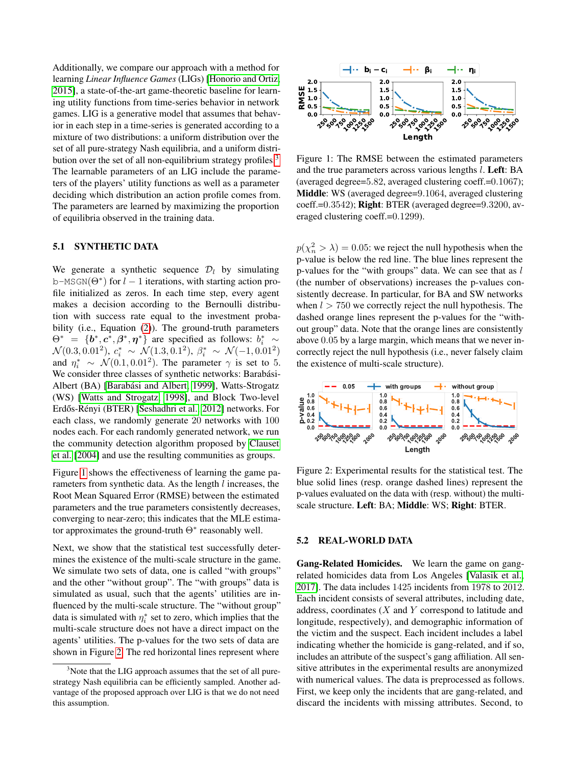Additionally, we compare our approach with a method for learning *Linear Influence Games* (LIGs) [\[Honorio and Ortiz,](#page-9-7) [2015\]](#page-9-7), a state-of-the-art game-theoretic baseline for learning utility functions from time-series behavior in network games. LIG is a generative model that assumes that behavior in each step in a time-series is generated according to a mixture of two distributions: a uniform distribution over the set of all pure-strategy Nash equilibria, and a uniform distri-bution over the set of all non-equilibrium strategy profiles.<sup>[3](#page-5-0)</sup> The learnable parameters of an LIG include the parameters of the players' utility functions as well as a parameter deciding which distribution an action profile comes from. The parameters are learned by maximizing the proportion of equilibria observed in the training data.

### 5.1 SYNTHETIC DATA

We generate a synthetic sequence  $\mathcal{D}_l$  by simulating b-MSGN( $\Theta^*$ ) for  $l-1$  iterations, with starting action profile initialized as zeros. In each time step, every agent makes a decision according to the Bernoulli distribution with success rate equal to the investment proba-bility (i.e., Equation [\(2\)](#page-2-1)). The ground-truth parameters  $\Theta^* = \{\mathbf{b}^*, \mathbf{c}^*, \mathbf{\beta}^*, \mathbf{\eta}^*\}\$ are specified as follows:  $b_i^* \sim$  $\mathcal{N}(0.3, 0.01^2), c_i^* \sim \mathcal{N}(1.3, 0.1^2), \beta_i^* \sim \mathcal{N}(-1, 0.01^2)$ and  $\eta_i^* \sim \mathcal{N}(0.1, 0.01^2)$ . The parameter  $\gamma$  is set to 5. We consider three classes of synthetic networks: Barabási-Albert (BA) [\[Barabási and Albert, 1999\]](#page-8-17), Watts-Strogatz (WS) [\[Watts and Strogatz, 1998\]](#page-9-19), and Block Two-level Erdős-Rényi (BTER) [\[Seshadhri et al., 2012\]](#page-9-20) networks. For each class, we randomly generate 20 networks with 100 nodes each. For each randomly generated network, we run the community detection algorithm proposed by [Clauset](#page-8-18) [et al.](#page-8-18) [\[2004\]](#page-8-18) and use the resulting communities as groups. for in each step in a time-streics is generated according to a<br>line in each step in a final-strategy Nash equilibrius, and a uniform distribution over the<br>set of all pure-strategy Nash equilibrius, and a uniform distribut

Figure [1](#page-5-1) shows the effectiveness of learning the game parameters from synthetic data. As the length  $l$  increases, the Root Mean Squared Error (RMSE) between the estimated parameters and the true parameters consistently decreases, converging to near-zero; this indicates that the MLE estimator approximates the ground-truth  $\Theta^*$  reasonably well.

Next, we show that the statistical test successfully determines the existence of the multi-scale structure in the game. We simulate two sets of data, one is called "with groups" and the other "without group". The "with groups" data is simulated as usual, such that the agents' utilities are influenced by the multi-scale structure. The "without group" data is simulated with  $\eta_i^*$  set to zero, which implies that the multi-scale structure does not have a direct impact on the agents' utilities. The p-values for the two sets of data are shown in Figure [2.](#page-5-2) The red horizontal lines represent where

<span id="page-5-1"></span>

Figure 1: The RMSE between the estimated parameters and the true parameters across various lengths l. Left: BA (averaged degree=5.82, averaged clustering coeff.=0.1067); Middle: WS (averaged degree=9.1064, averaged clustering coeff.=0.3542); Right: BTER (averaged degree=9.3200, averaged clustering coeff.=0.1299).

 $p(\chi_n^2 > \lambda) = 0.05$ : we reject the null hypothesis when the p-value is below the red line. The blue lines represent the p-values for the "with groups" data. We can see that as  $l$ (the number of observations) increases the p-values consistently decrease. In particular, for BA and SW networks when  $l > 750$  we correctly reject the null hypothesis. The dashed orange lines represent the p-values for the "without group" data. Note that the orange lines are consistently above 0.05 by a large margin, which means that we never incorrectly reject the null hypothesis (i.e., never falsely claim the existence of multi-scale structure).

<span id="page-5-2"></span>

Figure 2: Experimental results for the statistical test. The blue solid lines (resp. orange dashed lines) represent the p-values evaluated on the data with (resp. without) the multiscale structure. Left: BA; Middle: WS; Right: BTER.

#### 5.2 REAL-WORLD DATA

Gang-Related Homicides. We learn the game on gangrelated homicides data from Los Angeles [\[Valasik et al.,](#page-9-21) [2017\]](#page-9-21). The data includes 1425 incidents from 1978 to 2012. Each incident consists of several attributes, including date, address, coordinates  $(X \text{ and } Y \text{ correspond to latitude and})$ longitude, respectively), and demographic information of the victim and the suspect. Each incident includes a label indicating whether the homicide is gang-related, and if so, includes an attribute of the suspect's gang affiliation. All sensitive attributes in the experimental results are anonymized with numerical values. The data is preprocessed as follows. First, we keep only the incidents that are gang-related, and discard the incidents with missing attributes. Second, to

<span id="page-5-0"></span><sup>&</sup>lt;sup>3</sup>Note that the LIG approach assumes that the set of all purestrategy Nash equilibria can be efficiently sampled. Another advantage of the proposed approach over LIG is that we do not need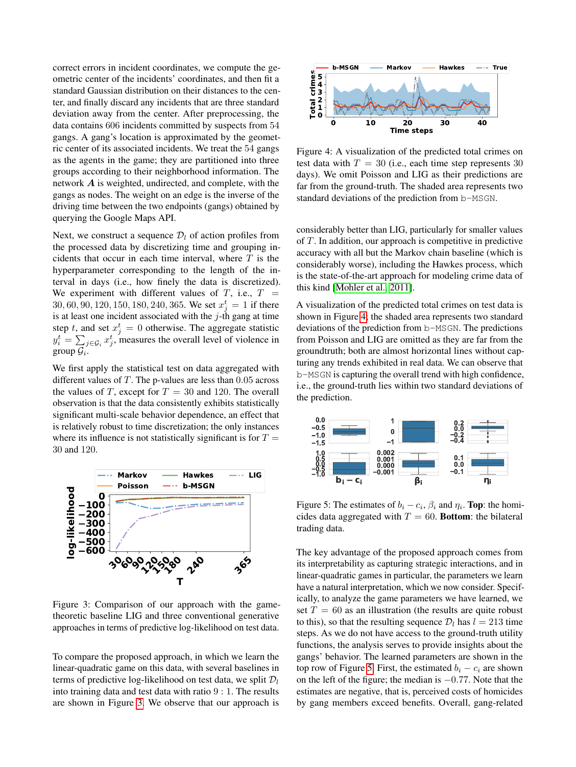correct errors in incident coordinates, we compute the geometric center of the incidents' coordinates, and then fit a standard Gaussian distribution on their distances to the center, and finally discard any incidents that are three standard deviation away from the center. After preprocessing, the data contains 606 incidents committed by suspects from 54 gangs. A gang's location is approximated by the geometric center of its associated incidents. We treat the 54 gangs as the agents in the game; they are partitioned into three groups according to their neighborhood information. The network A is weighted, undirected, and complete, with the gangs as nodes. The weight on an edge is the inverse of the driving time between the two endpoints (gangs) obtained by querying the Google Maps API.

Next, we construct a sequence  $\mathcal{D}_l$  of action profiles from the processed data by discretizing time and grouping incidents that occur in each time interval, where  $T$  is the hyperparameter corresponding to the length of the interval in days (i.e., how finely the data is discretized). We experiment with different values of  $T$ , i.e.,  $T =$ 30, 60, 90, 120, 150, 180, 240, 365. We set  $x_j^t = 1$  if there is at least one incident associated with the  $j$ -th gang at time step t, and set  $x_j^t = 0$  otherwise. The aggregate statistic  $y_i^t = \sum_{j \in \mathcal{G}_i} x_j^t$ , measures the overall level of violence in group  $\mathcal{G}_i$ .

We first apply the statistical test on data aggregated with different values of  $T$ . The p-values are less than 0.05 across the values of T, except for  $T = 30$  and 120. The overall observation is that the data consistently exhibits statistically significant multi-scale behavior dependence, an effect that is relatively robust to time discretization; the only instances where its influence is not statistically significant is for  $T =$ 30 and 120.

<span id="page-6-0"></span>

Figure 3: Comparison of our approach with the gametheoretic baseline LIG and three conventional generative approaches in terms of predictive log-likelihood on test data.

To compare the proposed approach, in which we learn the linear-quadratic game on this data, with several baselines in terms of predictive log-likelihood on test data, we split  $\mathcal{D}_l$ into training data and test data with ratio 9 : 1. The results are shown in Figure [3.](#page-6-0) We observe that our approach is

<span id="page-6-1"></span>

Figure 4: A visualization of the predicted total crimes on test data with  $T = 30$  (i.e., each time step represents 30) days). We omit Poisson and LIG as their predictions are far from the ground-truth. The shaded area represents two standard deviations of the prediction from b-MSGN.

considerably better than LIG, particularly for smaller values of T. In addition, our approach is competitive in predictive accuracy with all but the Markov chain baseline (which is considerably worse), including the Hawkes process, which is the state-of-the-art approach for modeling crime data of this kind [\[Mohler et al., 2011\]](#page-9-10).

A visualization of the predicted total crimes on test data is shown in Figure [4;](#page-6-1) the shaded area represents two standard deviations of the prediction from b-MSGN. The predictions from Poisson and LIG are omitted as they are far from the groundtruth; both are almost horizontal lines without capturing any trends exhibited in real data. We can observe that b-MSGN is capturing the overall trend with high confidence, i.e., the ground-truth lies within two standard deviations of the prediction.

<span id="page-6-2"></span>

Figure 5: The estimates of  $b_i - c_i$ ,  $\beta_i$  and  $\eta_i$ . **Top**: the homicides data aggregated with  $T = 60$ . Bottom: the bilateral trading data.

The key advantage of the proposed approach comes from its interpretability as capturing strategic interactions, and in linear-quadratic games in particular, the parameters we learn have a natural interpretation, which we now consider. Specifically, to analyze the game parameters we have learned, we set  $T = 60$  as an illustration (the results are quite robust to this), so that the resulting sequence  $\mathcal{D}_l$  has  $l = 213$  time steps. As we do not have access to the ground-truth utility functions, the analysis serves to provide insights about the gangs' behavior. The learned parameters are shown in the top row of Figure [5.](#page-6-2) First, the estimated  $b_i - c_i$  are shown on the left of the figure; the median is  $-0.77$ . Note that the estimates are negative, that is, perceived costs of homicides by gang members exceed benefits. Overall, gang-related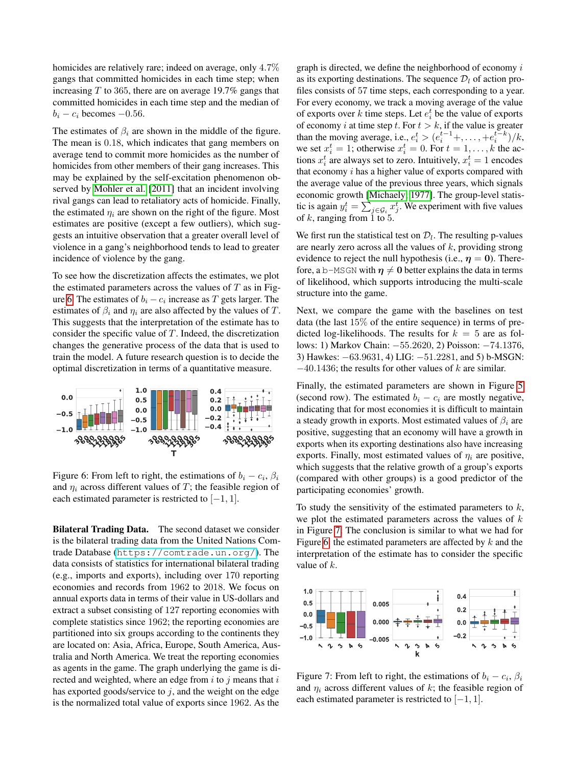homicides are relatively rare; indeed on average, only 4.7% gangs that committed homicides in each time step; when increasing  $T$  to 365, there are on average 19.7% gangs that committed homicides in each time step and the median of  $b_i - c_i$  becomes  $-0.56$ .

The estimates of  $\beta_i$  are shown in the middle of the figure. The mean is 0.18, which indicates that gang members on average tend to commit more homicides as the number of homicides from other members of their gang increases. This may be explained by the self-excitation phenomenon observed by [Mohler et al.](#page-9-10) [\[2011\]](#page-9-10) that an incident involving rival gangs can lead to retaliatory acts of homicide. Finally, the estimated  $\eta_i$  are shown on the right of the figure. Most estimates are positive (except a few outliers), which suggests an intuitive observation that a greater overall level of violence in a gang's neighborhood tends to lead to greater incidence of violence by the gang.

To see how the discretization affects the estimates, we plot the estimated parameters across the values of  $T$  as in Fig-ure [6.](#page-7-0) The estimates of  $b_i - c_i$  increase as T gets larger. The estimates of  $\beta_i$  and  $\eta_i$  are also affected by the values of T. This suggests that the interpretation of the estimate has to consider the specific value of T. Indeed, the discretization changes the generative process of the data that is used to train the model. A future research question is to decide the optimal discretization in terms of a quantitative measure.

<span id="page-7-0"></span>

Figure 6: From left to right, the estimations of  $b_i - c_i$ ,  $\beta_i$ and  $\eta_i$  across different values of T; the feasible region of each estimated parameter is restricted to  $[-1, 1]$ .

Bilateral Trading Data. The second dataset we consider is the bilateral trading data from the United Nations Comtrade Database (<https://comtrade.un.org/>). The data consists of statistics for international bilateral trading (e.g., imports and exports), including over 170 reporting economies and records from 1962 to 2018. We focus on annual exports data in terms of their value in US-dollars and extract a subset consisting of 127 reporting economies with complete statistics since 1962; the reporting economies are partitioned into six groups according to the continents they are located on: Asia, Africa, Europe, South America, Australia and North America. We treat the reporting economies as agents in the game. The graph underlying the game is directed and weighted, where an edge from  $i$  to  $j$  means that  $i$ has exported goods/service to  $j$ , and the weight on the edge is the normalized total value of exports since 1962. As the

graph is directed, we define the neighborhood of economy  $i$ as its exporting destinations. The sequence  $\mathcal{D}_l$  of action profiles consists of 57 time steps, each corresponding to a year. For every economy, we track a moving average of the value of exports over k time steps. Let  $e_i^t$  be the value of exports of economy i at time step t. For  $t > k$ , if the value is greater than the moving average, i.e.,  $e_i^t > (e_i^{t-1} +, \dots, + e_i^{t-k})/k$ , we set  $x_i^t = 1$ ; otherwise  $x_i^t = 0$ . For  $t = 1, ..., k$  the actions  $x_i^t$  are always set to zero. Intuitively,  $x_i^t = 1$  encodes that economy  $i$  has a higher value of exports compared with the average value of the previous three years, which signals economic growth [\[Michaely, 1977\]](#page-9-22). The group-level statistic is again  $y_i^t = \sum_{j \in \mathcal{G}_i} x_j^t$ . We experiment with five values of  $k$ , ranging from 1 to 5.

We first run the statistical test on  $\mathcal{D}_l$ . The resulting p-values are nearly zero across all the values of  $k$ , providing strong evidence to reject the null hypothesis (i.e.,  $\eta = 0$ ). Therefore, a b-MSGN with  $\eta \neq 0$  better explains the data in terms of likelihood, which supports introducing the multi-scale structure into the game.

Next, we compare the game with the baselines on test data (the last 15% of the entire sequence) in terms of predicted log-likelihoods. The results for  $k = 5$  are as follows: 1) Markov Chain: −55.2620, 2) Poisson: −74.1376, 3) Hawkes: −63.9631, 4) LIG: −51.2281, and 5) b-MSGN:  $-40.1436$ ; the results for other values of k are similar.

Finally, the estimated parameters are shown in Figure [5](#page-6-2) (second row). The estimated  $b_i - c_i$  are mostly negative, indicating that for most economies it is difficult to maintain a steady growth in exports. Most estimated values of  $\beta_i$  are positive, suggesting that an economy will have a growth in exports when its exporting destinations also have increasing exports. Finally, most estimated values of  $\eta_i$  are positive, which suggests that the relative growth of a group's exports (compared with other groups) is a good predictor of the participating economies' growth.

To study the sensitivity of the estimated parameters to  $k$ , we plot the estimated parameters across the values of  $k$ in Figure [7.](#page-7-1) The conclusion is similar to what we had for Figure [6:](#page-7-0) the estimated parameters are affected by  $k$  and the interpretation of the estimate has to consider the specific value of k.

<span id="page-7-1"></span>

Figure 7: From left to right, the estimations of  $b_i - c_i$ ,  $\beta_i$ and  $\eta_i$  across different values of k; the feasible region of each estimated parameter is restricted to  $[-1, 1]$ .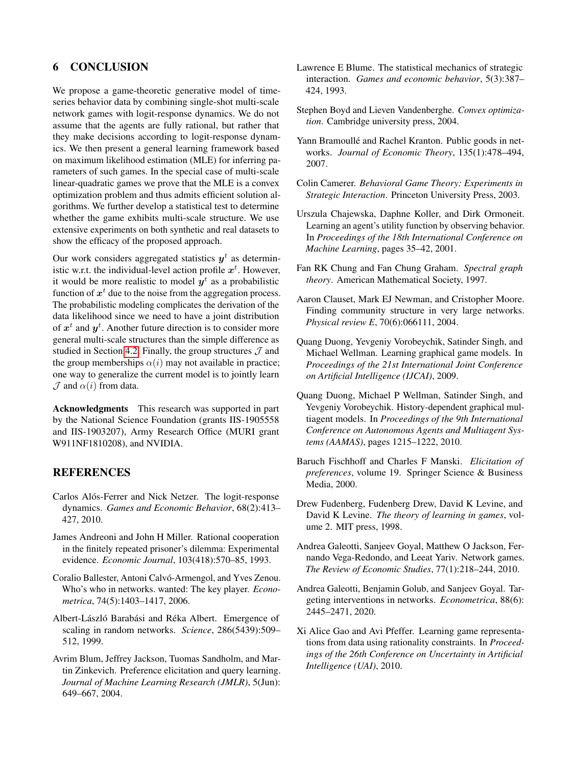# 6 CONCLUSION

We propose a game-theoretic generative model of timeseries behavior data by combining single-shot multi-scale network games with logit-response dynamics. We do not assume that the agents are fully rational, but rather that they make decisions according to logit-response dynamics. We then present a general learning framework based on maximum likelihood estimation (MLE) for inferring parameters of such games. In the special case of multi-scale linear-quadratic games we prove that the MLE is a convex optimization problem and thus admits efficient solution algorithms. We further develop a statistical test to determine whether the game exhibits multi-scale structure. We use extensive experiments on both synthetic and real datasets to show the efficacy of the proposed approach.

Our work considers aggregated statistics  $y<sup>t</sup>$  as deterministic w.r.t. the individual-level action profile  $x^t$ . However, it would be more realistic to model  $y<sup>t</sup>$  as a probabilistic function of  $x^t$  due to the noise from the aggregation process. The probabilistic modeling complicates the derivation of the data likelihood since we need to have a joint distribution of  $x^t$  and  $y^t$ . Another future direction is to consider more general multi-scale structures than the simple difference as studied in Section [4.2.](#page-3-1) Finally, the group structures  $\mathcal J$  and the group memberships  $\alpha(i)$  may not available in practice; one way to generalize the current model is to jointly learn  $\mathcal J$  and  $\alpha(i)$  from data.

Acknowledgments This research was supported in part by the National Science Foundation (grants IIS-1905558 and IIS-1903207), Army Research Office (MURI grant W911NF1810208), and NVIDIA.

### REFERENCES

- <span id="page-8-7"></span>Carlos Alós-Ferrer and Nick Netzer. The logit-response dynamics. *Games and Economic Behavior*, 68(2):413– 427, 2010.
- <span id="page-8-4"></span>James Andreoni and John H Miller. Rational cooperation in the finitely repeated prisoner's dilemma: Experimental evidence. *Economic Journal*, 103(418):570–85, 1993.
- <span id="page-8-2"></span>Coralio Ballester, Antoni Calvó-Armengol, and Yves Zenou. Who's who in networks. wanted: The key player. *Econometrica*, 74(5):1403–1417, 2006.
- <span id="page-8-17"></span>Albert-László Barabási and Réka Albert. Emergence of scaling in random networks. *Science*, 286(5439):509– 512, 1999.
- <span id="page-8-11"></span>Avrim Blum, Jeffrey Jackson, Tuomas Sandholm, and Martin Zinkevich. Preference elicitation and query learning. *Journal of Machine Learning Research (JMLR)*, 5(Jun): 649–667, 2004.
- <span id="page-8-6"></span>Lawrence E Blume. The statistical mechanics of strategic interaction. *Games and economic behavior*, 5(3):387– 424, 1993.
- <span id="page-8-16"></span>Stephen Boyd and Lieven Vandenberghe. *Convex optimization*. Cambridge university press, 2004.
- <span id="page-8-0"></span>Yann Bramoullé and Rachel Kranton. Public goods in networks. *Journal of Economic Theory*, 135(1):478–494, 2007.
- <span id="page-8-5"></span>Colin Camerer. *Behavioral Game Theory: Experiments in Strategic Interaction*. Princeton University Press, 2003.
- <span id="page-8-3"></span>Urszula Chajewska, Daphne Koller, and Dirk Ormoneit. Learning an agent's utility function by observing behavior. In *Proceedings of the 18th International Conference on Machine Learning*, pages 35–42, 2001.
- <span id="page-8-14"></span>Fan RK Chung and Fan Chung Graham. *Spectral graph theory*. American Mathematical Society, 1997.
- <span id="page-8-18"></span>Aaron Clauset, Mark EJ Newman, and Cristopher Moore. Finding community structure in very large networks. *Physical review E*, 70(6):066111, 2004.
- <span id="page-8-12"></span>Quang Duong, Yevgeniy Vorobeychik, Satinder Singh, and Michael Wellman. Learning graphical game models. In *Proceedings of the 21st International Joint Conference on Artificial Intelligence (IJCAI)*, 2009.
- <span id="page-8-9"></span>Quang Duong, Michael P Wellman, Satinder Singh, and Yevgeniy Vorobeychik. History-dependent graphical multiagent models. In *Proceedings of the 9th International Conference on Autonomous Agents and Multiagent Systems (AAMAS)*, pages 1215–1222, 2010.
- <span id="page-8-10"></span>Baruch Fischhoff and Charles F Manski. *Elicitation of preferences*, volume 19. Springer Science & Business Media, 2000.
- <span id="page-8-8"></span>Drew Fudenberg, Fudenberg Drew, David K Levine, and David K Levine. *The theory of learning in games*, volume 2. MIT press, 1998.
- <span id="page-8-1"></span>Andrea Galeotti, Sanjeev Goyal, Matthew O Jackson, Fernando Vega-Redondo, and Leeat Yariv. Network games. *The Review of Economic Studies*, 77(1):218–244, 2010.
- <span id="page-8-15"></span>Andrea Galeotti, Benjamin Golub, and Sanjeev Goyal. Targeting interventions in networks. *Econometrica*, 88(6): 2445–2471, 2020.
- <span id="page-8-13"></span>Xi Alice Gao and Avi Pfeffer. Learning game representations from data using rationality constraints. In *Proceedings of the 26th Conference on Uncertainty in Artificial Intelligence (UAI)*, 2010.